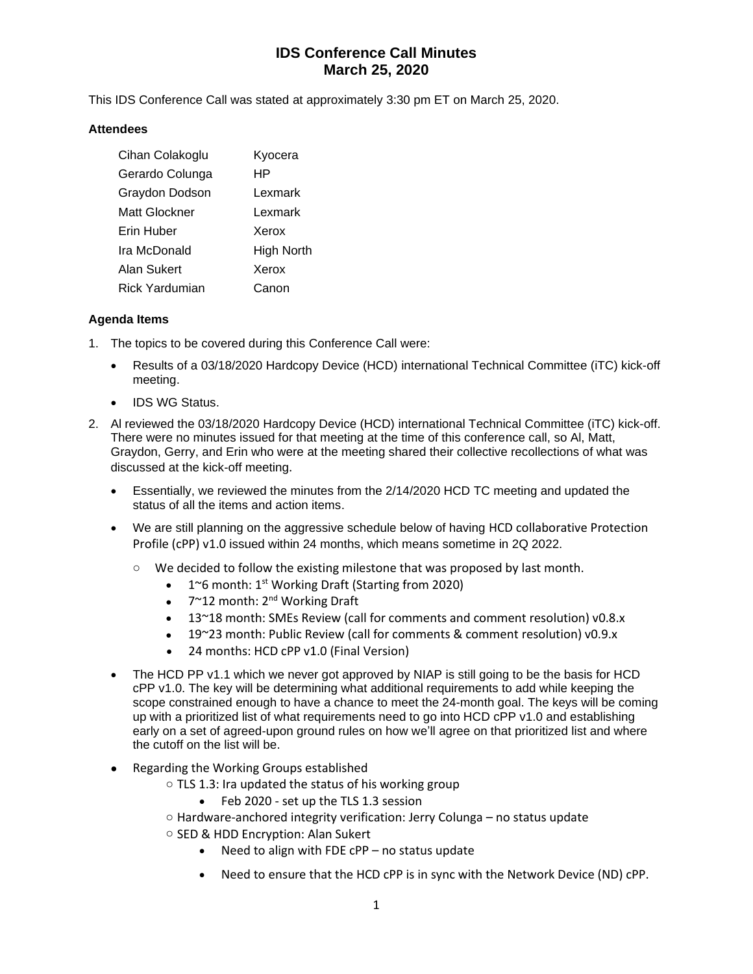# **IDS Conference Call Minutes March 25, 2020**

This IDS Conference Call was stated at approximately 3:30 pm ET on March 25, 2020.

#### **Attendees**

| Cihan Colakoglu       | Kyocera           |
|-----------------------|-------------------|
| Gerardo Colunga       | HP                |
| Graydon Dodson        | Lexmark           |
| Matt Glockner         | Lexmark           |
| Erin Huber            | Xerox             |
| Ira McDonald          | <b>High North</b> |
| Alan Sukert           | Xerox             |
| <b>Rick Yardumian</b> | Canon             |

### **Agenda Items**

- 1. The topics to be covered during this Conference Call were:
	- Results of a 03/18/2020 Hardcopy Device (HCD) international Technical Committee (iTC) kick-off meeting.
	- IDS WG Status.
- 2. Al reviewed the 03/18/2020 Hardcopy Device (HCD) international Technical Committee (iTC) kick-off. There were no minutes issued for that meeting at the time of this conference call, so Al, Matt, Graydon, Gerry, and Erin who were at the meeting shared their collective recollections of what was discussed at the kick-off meeting.
	- Essentially, we reviewed the minutes from the 2/14/2020 HCD TC meeting and updated the status of all the items and action items.
	- We are still planning on the aggressive schedule below of having HCD collaborative Protection Profile (cPP) v1.0 issued within 24 months, which means sometime in 2Q 2022.
		- o We decided to follow the existing milestone that was proposed by last month.
			- $1^{\circ}$ 6 month: 1<sup>st</sup> Working Draft (Starting from 2020)
				- $7^{\sim}$ 12 month: 2<sup>nd</sup> Working Draft
				- 13~18 month: SMEs Review (call for comments and comment resolution) v0.8.x
				- 19~23 month: Public Review (call for comments & comment resolution) v0.9.x
				- 24 months: HCD cPP v1.0 (Final Version)
	- The HCD PP v1.1 which we never got approved by NIAP is still going to be the basis for HCD cPP v1.0. The key will be determining what additional requirements to add while keeping the scope constrained enough to have a chance to meet the 24-month goal. The keys will be coming up with a prioritized list of what requirements need to go into HCD cPP v1.0 and establishing early on a set of agreed-upon ground rules on how we'll agree on that prioritized list and where the cutoff on the list will be.
	- Regarding the Working Groups established
		- o TLS 1.3: Ira updated the status of his working group
			- Feb 2020 set up the TLS 1.3 session
		- o Hardware-anchored integrity verification: Jerry Colunga no status update
		- o SED & HDD Encryption: Alan Sukert
			- Need to align with FDE cPP no status update
			- Need to ensure that the HCD cPP is in sync with the Network Device (ND) cPP.